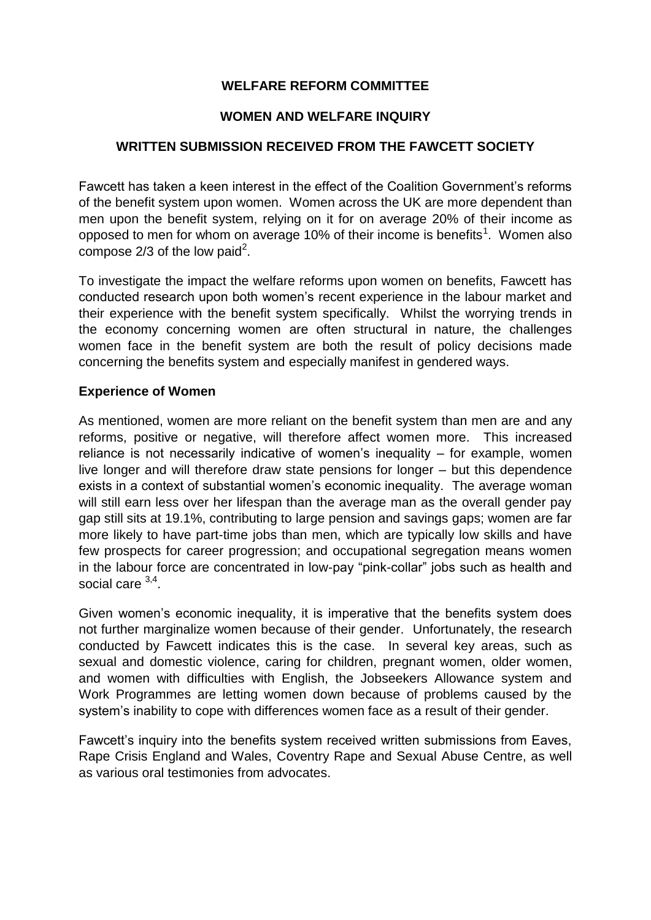# **WELFARE REFORM COMMITTEE**

## **WOMEN AND WELFARE INQUIRY**

## **WRITTEN SUBMISSION RECEIVED FROM THE FAWCETT SOCIETY**

Fawcett has taken a keen interest in the effect of the Coalition Government's reforms of the benefit system upon women. Women across the UK are more dependent than men upon the benefit system, relying on it for on average 20% of their income as opposed to men for whom on average 10% of their income is benefits<sup>1</sup>. Women also compose 2/3 of the low paid<sup>2</sup>.

To investigate the impact the welfare reforms upon women on benefits, Fawcett has conducted research upon both women's recent experience in the labour market and their experience with the benefit system specifically. Whilst the worrying trends in the economy concerning women are often structural in nature, the challenges women face in the benefit system are both the result of policy decisions made concerning the benefits system and especially manifest in gendered ways.

#### **Experience of Women**

As mentioned, women are more reliant on the benefit system than men are and any reforms, positive or negative, will therefore affect women more. This increased reliance is not necessarily indicative of women's inequality – for example, women live longer and will therefore draw state pensions for longer – but this dependence exists in a context of substantial women's economic inequality. The average woman will still earn less over her lifespan than the average man as the overall gender pay gap still sits at 19.1%, contributing to large pension and savings gaps; women are far more likely to have part-time jobs than men, which are typically low skills and have few prospects for career progression; and occupational segregation means women in the labour force are concentrated in low-pay "pink-collar" jobs such as health and social care <sup>3,4</sup>.

Given women's economic inequality, it is imperative that the benefits system does not further marginalize women because of their gender. Unfortunately, the research conducted by Fawcett indicates this is the case. In several key areas, such as sexual and domestic violence, caring for children, pregnant women, older women, and women with difficulties with English, the Jobseekers Allowance system and Work Programmes are letting women down because of problems caused by the system's inability to cope with differences women face as a result of their gender.

Fawcett's inquiry into the benefits system received written submissions from Eaves, Rape Crisis England and Wales, Coventry Rape and Sexual Abuse Centre, as well as various oral testimonies from advocates.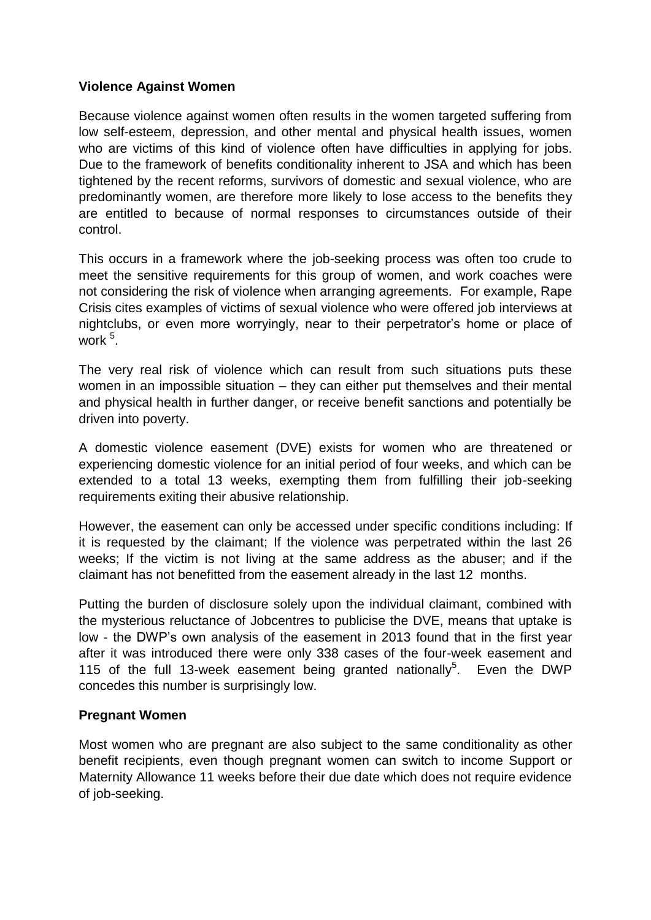### **Violence Against Women**

Because violence against women often results in the women targeted suffering from low self-esteem, depression, and other mental and physical health issues, women who are victims of this kind of violence often have difficulties in applying for jobs. Due to the framework of benefits conditionality inherent to JSA and which has been tightened by the recent reforms, survivors of domestic and sexual violence, who are predominantly women, are therefore more likely to lose access to the benefits they are entitled to because of normal responses to circumstances outside of their control.

This occurs in a framework where the job-seeking process was often too crude to meet the sensitive requirements for this group of women, and work coaches were not considering the risk of violence when arranging agreements. For example, Rape Crisis cites examples of victims of sexual violence who were offered job interviews at nightclubs, or even more worryingly, near to their perpetrator's home or place of work <sup>5</sup> .

The very real risk of violence which can result from such situations puts these women in an impossible situation – they can either put themselves and their mental and physical health in further danger, or receive benefit sanctions and potentially be driven into poverty.

A domestic violence easement (DVE) exists for women who are threatened or experiencing domestic violence for an initial period of four weeks, and which can be extended to a total 13 weeks, exempting them from fulfilling their job-seeking requirements exiting their abusive relationship.

However, the easement can only be accessed under specific conditions including: If it is requested by the claimant; If the violence was perpetrated within the last 26 weeks; If the victim is not living at the same address as the abuser; and if the claimant has not benefitted from the easement already in the last 12 months.

Putting the burden of disclosure solely upon the individual claimant, combined with the mysterious reluctance of Jobcentres to publicise the DVE, means that uptake is low - the DWP's own analysis of the easement in 2013 found that in the first year after it was introduced there were only 338 cases of the four-week easement and 115 of the full 13-week easement being granted nationally<sup>5</sup>. Even the DWP concedes this number is surprisingly low.

#### **Pregnant Women**

Most women who are pregnant are also subject to the same conditionality as other benefit recipients, even though pregnant women can switch to income Support or Maternity Allowance 11 weeks before their due date which does not require evidence of job-seeking.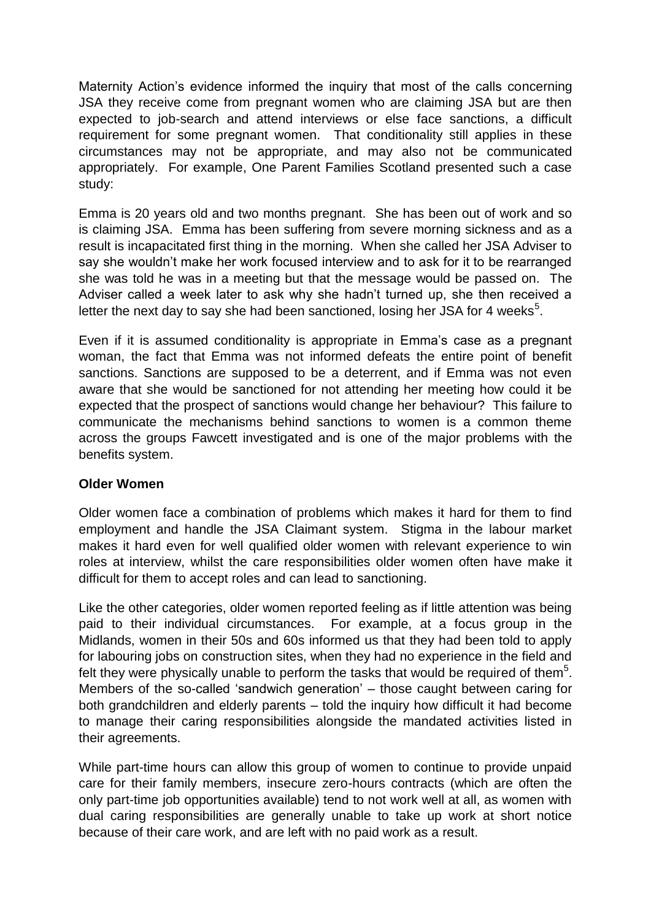Maternity Action's evidence informed the inquiry that most of the calls concerning JSA they receive come from pregnant women who are claiming JSA but are then expected to job-search and attend interviews or else face sanctions, a difficult requirement for some pregnant women. That conditionality still applies in these circumstances may not be appropriate, and may also not be communicated appropriately. For example, One Parent Families Scotland presented such a case study:

Emma is 20 years old and two months pregnant. She has been out of work and so is claiming JSA. Emma has been suffering from severe morning sickness and as a result is incapacitated first thing in the morning. When she called her JSA Adviser to say she wouldn't make her work focused interview and to ask for it to be rearranged she was told he was in a meeting but that the message would be passed on. The Adviser called a week later to ask why she hadn't turned up, she then received a letter the next day to say she had been sanctioned, losing her JSA for 4 weeks $5$ .

Even if it is assumed conditionality is appropriate in Emma's case as a pregnant woman, the fact that Emma was not informed defeats the entire point of benefit sanctions. Sanctions are supposed to be a deterrent, and if Emma was not even aware that she would be sanctioned for not attending her meeting how could it be expected that the prospect of sanctions would change her behaviour? This failure to communicate the mechanisms behind sanctions to women is a common theme across the groups Fawcett investigated and is one of the major problems with the benefits system.

#### **Older Women**

Older women face a combination of problems which makes it hard for them to find employment and handle the JSA Claimant system. Stigma in the labour market makes it hard even for well qualified older women with relevant experience to win roles at interview, whilst the care responsibilities older women often have make it difficult for them to accept roles and can lead to sanctioning.

Like the other categories, older women reported feeling as if little attention was being paid to their individual circumstances. For example, at a focus group in the Midlands, women in their 50s and 60s informed us that they had been told to apply for labouring jobs on construction sites, when they had no experience in the field and felt they were physically unable to perform the tasks that would be required of them<sup>5</sup>. Members of the so-called 'sandwich generation' – those caught between caring for both grandchildren and elderly parents – told the inquiry how difficult it had become to manage their caring responsibilities alongside the mandated activities listed in their agreements.

While part-time hours can allow this group of women to continue to provide unpaid care for their family members, insecure zero-hours contracts (which are often the only part-time job opportunities available) tend to not work well at all, as women with dual caring responsibilities are generally unable to take up work at short notice because of their care work, and are left with no paid work as a result.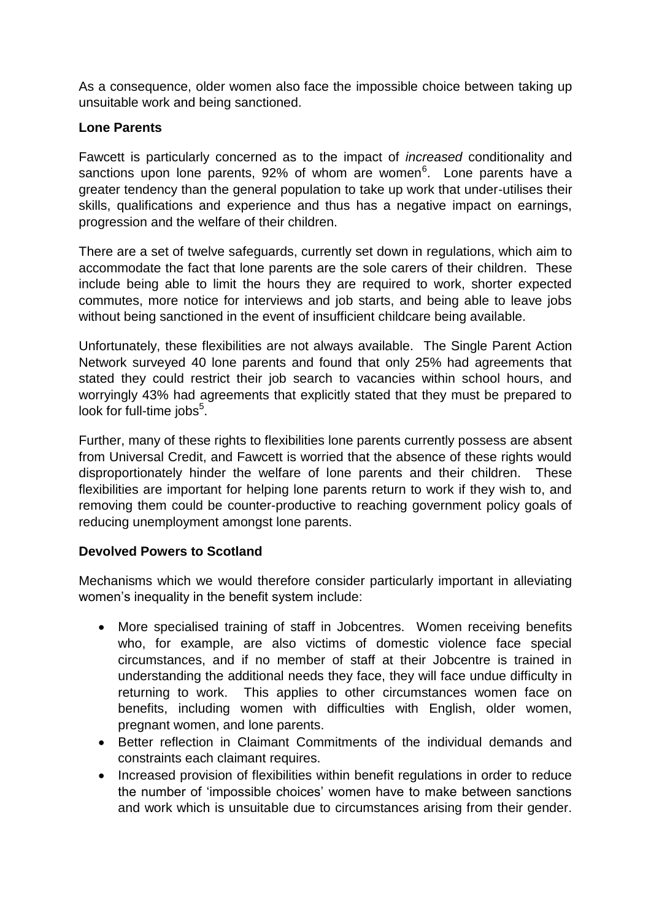As a consequence, older women also face the impossible choice between taking up unsuitable work and being sanctioned.

## **Lone Parents**

Fawcett is particularly concerned as to the impact of *increased* conditionality and sanctions upon lone parents, 92% of whom are women<sup>6</sup>. Lone parents have a greater tendency than the general population to take up work that under-utilises their skills, qualifications and experience and thus has a negative impact on earnings, progression and the welfare of their children.

There are a set of twelve safeguards, currently set down in regulations, which aim to accommodate the fact that lone parents are the sole carers of their children. These include being able to limit the hours they are required to work, shorter expected commutes, more notice for interviews and job starts, and being able to leave jobs without being sanctioned in the event of insufficient childcare being available.

Unfortunately, these flexibilities are not always available. The Single Parent Action Network surveyed 40 lone parents and found that only 25% had agreements that stated they could restrict their job search to vacancies within school hours, and worryingly 43% had agreements that explicitly stated that they must be prepared to look for full-time jobs<sup>5</sup>.

Further, many of these rights to flexibilities lone parents currently possess are absent from Universal Credit, and Fawcett is worried that the absence of these rights would disproportionately hinder the welfare of lone parents and their children. These flexibilities are important for helping lone parents return to work if they wish to, and removing them could be counter-productive to reaching government policy goals of reducing unemployment amongst lone parents.

# **Devolved Powers to Scotland**

Mechanisms which we would therefore consider particularly important in alleviating women's inequality in the benefit system include:

- More specialised training of staff in Jobcentres. Women receiving benefits who, for example, are also victims of domestic violence face special circumstances, and if no member of staff at their Jobcentre is trained in understanding the additional needs they face, they will face undue difficulty in returning to work. This applies to other circumstances women face on benefits, including women with difficulties with English, older women, pregnant women, and lone parents.
- Better reflection in Claimant Commitments of the individual demands and constraints each claimant requires.
- Increased provision of flexibilities within benefit regulations in order to reduce the number of 'impossible choices' women have to make between sanctions and work which is unsuitable due to circumstances arising from their gender.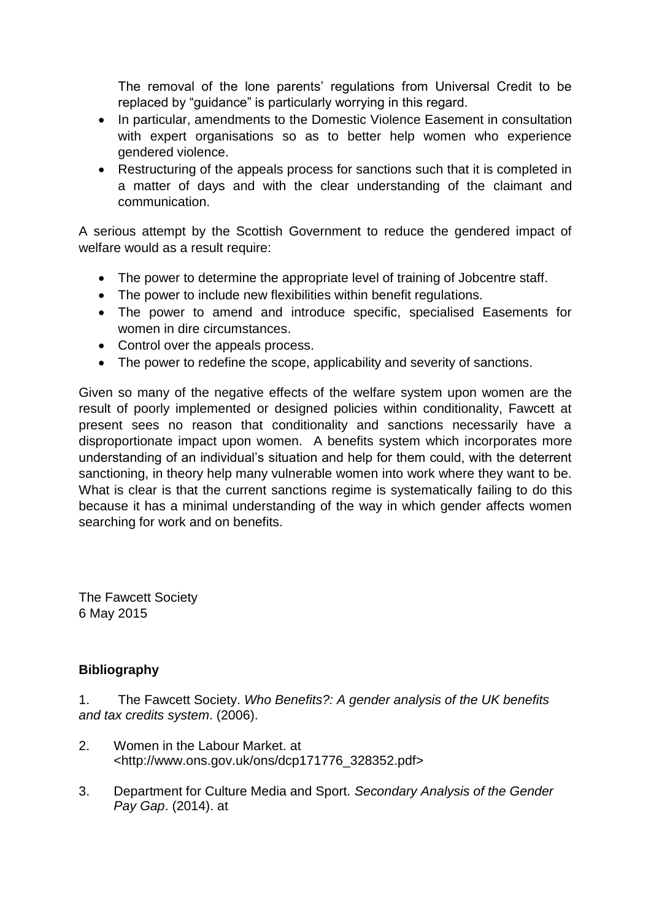The removal of the lone parents' regulations from Universal Credit to be replaced by "guidance" is particularly worrying in this regard.

- In particular, amendments to the Domestic Violence Easement in consultation with expert organisations so as to better help women who experience gendered violence.
- Restructuring of the appeals process for sanctions such that it is completed in a matter of days and with the clear understanding of the claimant and communication.

A serious attempt by the Scottish Government to reduce the gendered impact of welfare would as a result require:

- The power to determine the appropriate level of training of Jobcentre staff.
- The power to include new flexibilities within benefit regulations.
- The power to amend and introduce specific, specialised Easements for women in dire circumstances.
- Control over the appeals process.
- The power to redefine the scope, applicability and severity of sanctions.

Given so many of the negative effects of the welfare system upon women are the result of poorly implemented or designed policies within conditionality, Fawcett at present sees no reason that conditionality and sanctions necessarily have a disproportionate impact upon women. A benefits system which incorporates more understanding of an individual's situation and help for them could, with the deterrent sanctioning, in theory help many vulnerable women into work where they want to be. What is clear is that the current sanctions regime is systematically failing to do this because it has a minimal understanding of the way in which gender affects women searching for work and on benefits.

The Fawcett Society 6 May 2015

# **Bibliography**

1. The Fawcett Society. *Who Benefits?: A gender analysis of the UK benefits and tax credits system*. (2006).

- 2. Women in the Labour Market. at <http://www.ons.gov.uk/ons/dcp171776\_328352.pdf>
- 3. Department for Culture Media and Sport. *Secondary Analysis of the Gender Pay Gap*. (2014). at